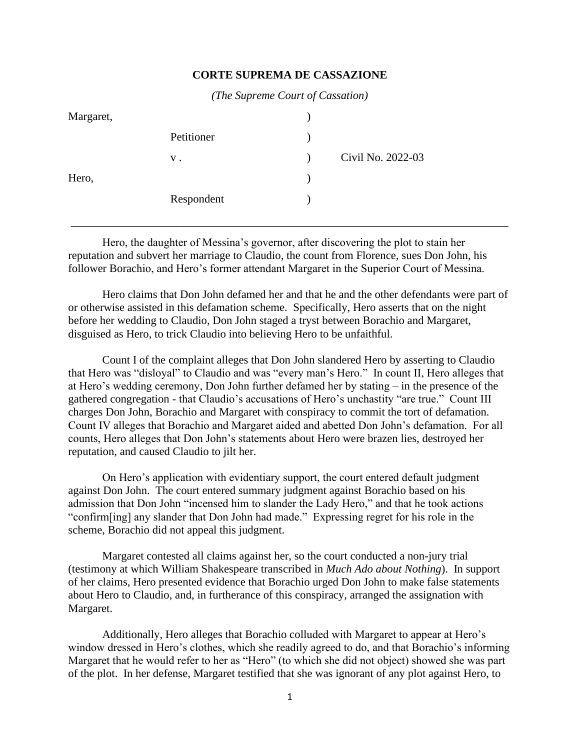## **CORTE SUPREMA DE CASSAZIONE**

*(The Supreme Court of Cassation)*

| Margaret, |            |                   |
|-----------|------------|-------------------|
|           | Petitioner |                   |
|           | $V$ .      | Civil No. 2022-03 |
| Hero,     |            |                   |
|           | Respondent |                   |

Hero, the daughter of Messina's governor, after discovering the plot to stain her reputation and subvert her marriage to Claudio, the count from Florence, sues Don John, his follower Borachio, and Hero's former attendant Margaret in the Superior Court of Messina.

\_\_\_\_\_\_\_\_\_\_\_\_\_\_\_\_\_\_\_\_\_\_\_\_\_\_\_\_\_\_\_\_\_\_\_\_\_\_\_\_\_\_\_\_\_\_\_\_\_\_\_\_\_\_\_\_\_\_\_\_\_\_\_\_\_\_

Hero claims that Don John defamed her and that he and the other defendants were part of or otherwise assisted in this defamation scheme. Specifically, Hero asserts that on the night before her wedding to Claudio, Don John staged a tryst between Borachio and Margaret, disguised as Hero, to trick Claudio into believing Hero to be unfaithful.

Count I of the complaint alleges that Don John slandered Hero by asserting to Claudio that Hero was "disloyal" to Claudio and was "every man's Hero." In count II, Hero alleges that at Hero's wedding ceremony, Don John further defamed her by stating – in the presence of the gathered congregation - that Claudio's accusations of Hero's unchastity "are true." Count III charges Don John, Borachio and Margaret with conspiracy to commit the tort of defamation. Count IV alleges that Borachio and Margaret aided and abetted Don John's defamation. For all counts, Hero alleges that Don John's statements about Hero were brazen lies, destroyed her reputation, and caused Claudio to jilt her.

On Hero's application with evidentiary support, the court entered default judgment against Don John. The court entered summary judgment against Borachio based on his admission that Don John "incensed him to slander the Lady Hero," and that he took actions "confirm[ing] any slander that Don John had made." Expressing regret for his role in the scheme, Borachio did not appeal this judgment.

Margaret contested all claims against her, so the court conducted a non-jury trial (testimony at which William Shakespeare transcribed in *Much Ado about Nothing*). In support of her claims, Hero presented evidence that Borachio urged Don John to make false statements about Hero to Claudio, and, in furtherance of this conspiracy, arranged the assignation with Margaret.

Additionally, Hero alleges that Borachio colluded with Margaret to appear at Hero's window dressed in Hero's clothes, which she readily agreed to do, and that Borachio's informing Margaret that he would refer to her as "Hero" (to which she did not object) showed she was part of the plot. In her defense, Margaret testified that she was ignorant of any plot against Hero, to